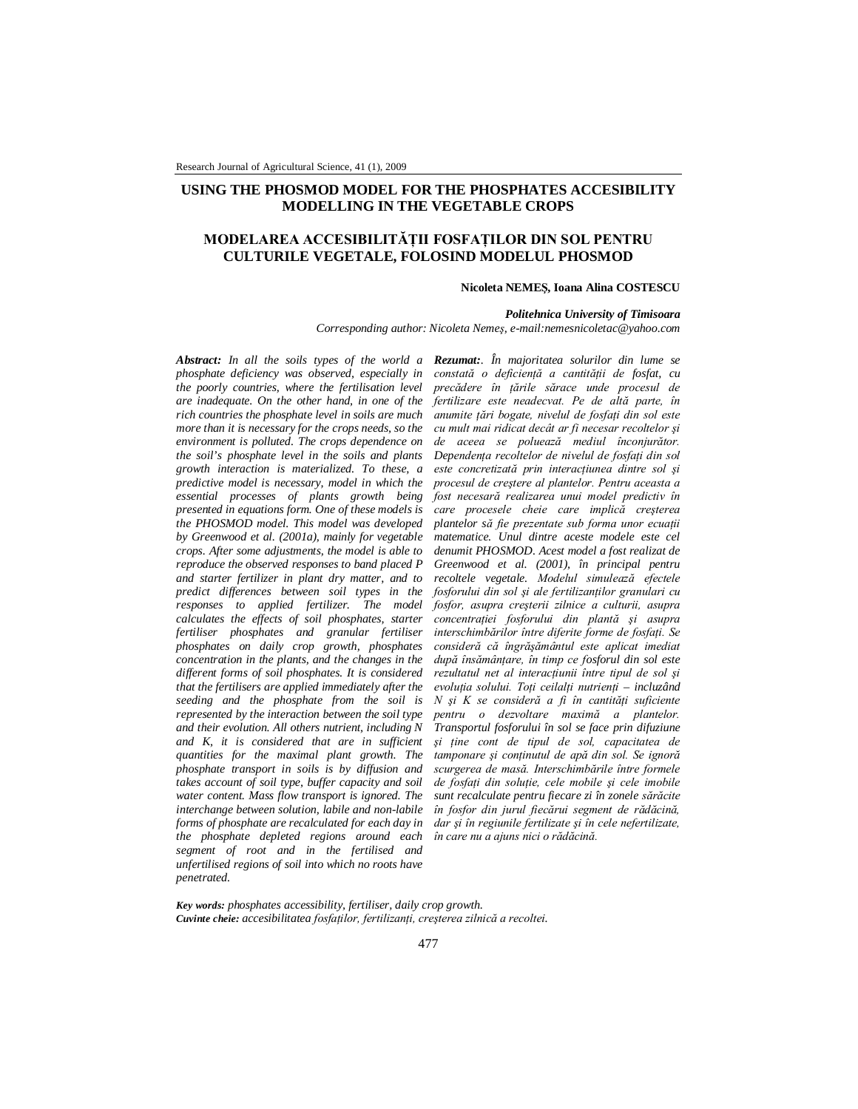## **USING THE PHOSMOD MODEL FOR THE PHOSPHATES ACCESIBILITY MODELLING IN THE VEGETABLE CROPS**

# **MODELAREA ACCESIBILITĂŢII FOSFAŢILOR DIN SOL PENTRU CULTURILE VEGETALE, FOLOSIND MODELUL PHOSMOD**

#### **Nicoleta NEMEŞ, Ioana Alina COSTESCU**

*Politehnica University of Timisoara*

*Corresponding author: Nicoleta Nemeş, e-mail:nemesnicoletac@yahoo.com*

*Abstract: In all the soils types of the world a Rezumat:. În majoritatea solurilor din lume se phosphate deficiency was observed, especially in the poorly countries, where the fertilisation level are inadequate. On the other hand, in one of the rich countries the phosphate level in soils are much more than it is necessary for the crops needs, so the environment is polluted. The crops dependence on the soil's phosphate level in the soils and plants growth interaction is materialized. To these, a predictive model is necessary, model in which the essential processes of plants growth being presented in equations form. One of these models is the PHOSMOD model. This model was developed by Greenwood et al. (2001a), mainly for vegetable crops. After some adjustments, the model is able to reproduce the observed responses to band placed P and starter fertilizer in plant dry matter, and to predict differences between soil types in the responses to applied fertilizer. The model calculates the effects of soil phosphates, starter fertiliser phosphates and granular fertiliser phosphates on daily crop growth, phosphates concentration in the plants, and the changes in the different forms of soil phosphates. It is considered that the fertilisers are applied immediately after the seeding and the phosphate from the soil is represented by the interaction between the soil type and their evolution. All others nutrient, including N and K, it is considered that are in sufficient quantities for the maximal plant growth. The phosphate transport in soils is by diffusion and takes account of soil type, buffer capacity and soil water content. Mass flow transport is ignored. The interchange between solution, labile and non-labile forms of phosphate are recalculated for each day in the phosphate depleted regions around each segment of root and in the fertilised and unfertilised regions of soil into which no roots have penetrated.*

*constată o deficienţă a cantităţii de fosfat, cu precădere în ţările sărace unde procesul de fertilizare este neadecvat. Pe de altă parte, în anumite ţări bogate, nivelul de fosfaţi din sol este cu mult mai ridicat decât ar fi necesar recoltelor şi de aceea se poluează mediul înconjurător. Dependenta recoltelor de nivelul de fosfati din sol este concretizată prin interacţiunea dintre sol şi procesul de creştere al plantelor. Pentru aceasta a fost necesară realizarea unui model predictiv în care procesele cheie care implică creşterea plantelor să fie prezentate sub forma unor ecuaţii matematice. Unul dintre aceste modele este cel denumit PHOSMOD. Acest model a fost realizat de Greenwood et al. (2001), în principal pentru recoltele vegetale. Modelul simulează efectele fosforului din sol şi ale fertilizanţilor granulari cu fosfor, asupra creşterii zilnice a culturii, asupra concentraţiei fosforului din plantă şi asupra interschimbărilor între diferite forme de fosfaţi. Se consideră că îngrăşământul este aplicat imediat după însămânţare, în timp ce fosforul din sol este rezultatul net al interacţiunii între tipul de sol şi evoluţia solului. Toţi ceilalţi nutrienţi – incluzând N şi K se consideră a fi în cantităţi suficiente pentru o dezvoltare maximă a plantelor. Transportul fosforului în sol se face prin difuziune şi ţine cont de tipul de sol, capacitatea de tamponare şi conţinutul de apă din sol. Se ignoră scurgerea de masă. Interschimbările între formele de fosfaţi din soluţie, cele mobile şi cele imobile sunt recalculate pentru fiecare zi în zonele sărăcite în fosfor din jurul fiecărui segment de rădăcină, dar şi în regiunile fertilizate şi în cele nefertilizate, în care nu a ajuns nici o rădăcină.*

*Key words: phosphates accessibility, fertiliser, daily crop growth. Cuvinte cheie: accesibilitatea fosfaţilor, fertilizanţi, creşterea zilnică a recoltei.*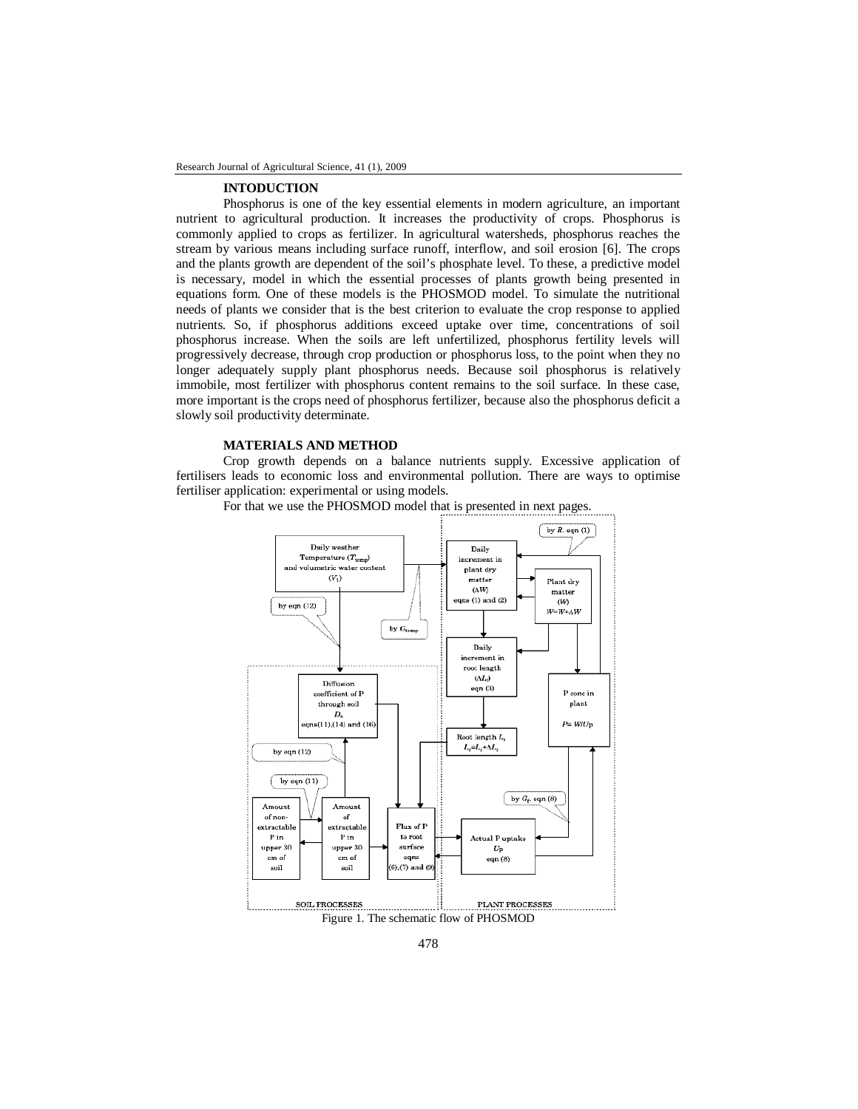#### **INTODUCTION**

Phosphorus is one of the key essential elements in modern agriculture, an important nutrient to agricultural production. It increases the productivity of crops. Phosphorus is commonly applied to crops as fertilizer. In agricultural watersheds, phosphorus reaches the stream by various means including surface runoff, interflow, and soil erosion [6]. The crops and the plants growth are dependent of the soil's phosphate level. To these, a predictive model is necessary, model in which the essential processes of plants growth being presented in equations form. One of these models is the PHOSMOD model. To simulate the nutritional needs of plants we consider that is the best criterion to evaluate the crop response to applied nutrients. So, if phosphorus additions exceed uptake over time, concentrations of soil phosphorus increase. When the soils are left unfertilized, phosphorus fertility levels will progressively decrease, through crop production or phosphorus loss, to the point when they no longer adequately supply plant phosphorus needs. Because soil phosphorus is relatively immobile, most fertilizer with phosphorus content remains to the soil surface. In these case, more important is the crops need of phosphorus fertilizer, because also the phosphorus deficit a slowly soil productivity determinate.

### **MATERIALS AND METHOD**

Crop growth depends on a balance nutrients supply. Excessive application of fertilisers leads to economic loss and environmental pollution. There are ways to optimise fertiliser application: experimental or using models.



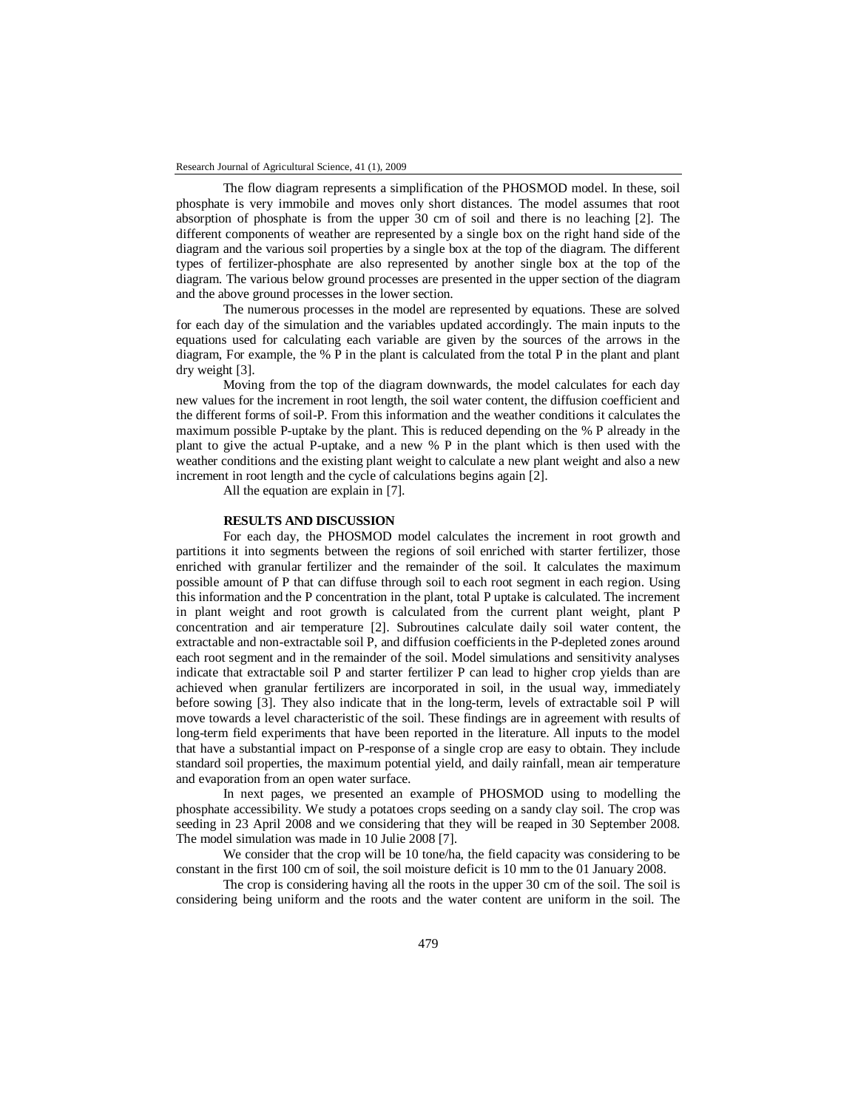The flow diagram represents a simplification of the PHOSMOD model. In these, soil phosphate is very immobile and moves only short distances. The model assumes that root absorption of phosphate is from the upper 30 cm of soil and there is no leaching [2]. The different components of weather are represented by a single box on the right hand side of the diagram and the various soil properties by a single box at the top of the diagram. The different types of fertilizer-phosphate are also represented by another single box at the top of the diagram. The various below ground processes are presented in the upper section of the diagram and the above ground processes in the lower section.

The numerous processes in the model are represented by equations. These are solved for each day of the simulation and the variables updated accordingly. The main inputs to the equations used for calculating each variable are given by the sources of the arrows in the diagram, For example, the % P in the plant is calculated from the total P in the plant and plant dry weight [3].

Moving from the top of the diagram downwards, the model calculates for each day new values for the increment in root length, the soil water content, the diffusion coefficient and the different forms of soil-P. From this information and the weather conditions it calculates the maximum possible P-uptake by the plant. This is reduced depending on the % P already in the plant to give the actual P-uptake, and a new % P in the plant which is then used with the weather conditions and the existing plant weight to calculate a new plant weight and also a new increment in root length and the cycle of calculations begins again [2].

All the equation are explain in [7].

### **RESULTS AND DISCUSSION**

For each day, the PHOSMOD model calculates the increment in root growth and partitions it into segments between the regions of soil enriched with starter fertilizer, those enriched with granular fertilizer and the remainder of the soil. It calculates the maximum possible amount of P that can diffuse through soil to each root segment in each region. Using this information and the P concentration in the plant, total P uptake is calculated. The increment in plant weight and root growth is calculated from the current plant weight, plant P concentration and air temperature [2]. Subroutines calculate daily soil water content, the extractable and non-extractable soil P, and diffusion coefficientsin the P-depleted zones around each root segment and in the remainder of the soil. Model simulations and sensitivity analyses indicate that extractable soil P and starter fertilizer P can lead to higher crop yields than are achieved when granular fertilizers are incorporated in soil, in the usual way, immediately before sowing [3]. They also indicate that in the long-term, levels of extractable soil P will move towards a level characteristic of the soil. These findings are in agreement with results of long-term field experiments that have been reported in the literature. All inputs to the model that have a substantial impact on P-response of a single crop are easy to obtain. They include standard soil properties, the maximum potential yield, and daily rainfall, mean air temperature and evaporation from an open water surface.

In next pages, we presented an example of PHOSMOD using to modelling the phosphate accessibility. We study a potatoes crops seeding on a sandy clay soil. The crop was seeding in 23 April 2008 and we considering that they will be reaped in 30 September 2008. The model simulation was made in 10 Julie 2008 [7].

We consider that the crop will be 10 tone/ha, the field capacity was considering to be constant in the first 100 cm of soil, the soil moisture deficit is 10 mm to the 01 January 2008.

The crop is considering having all the roots in the upper 30 cm of the soil. The soil is considering being uniform and the roots and the water content are uniform in the soil. The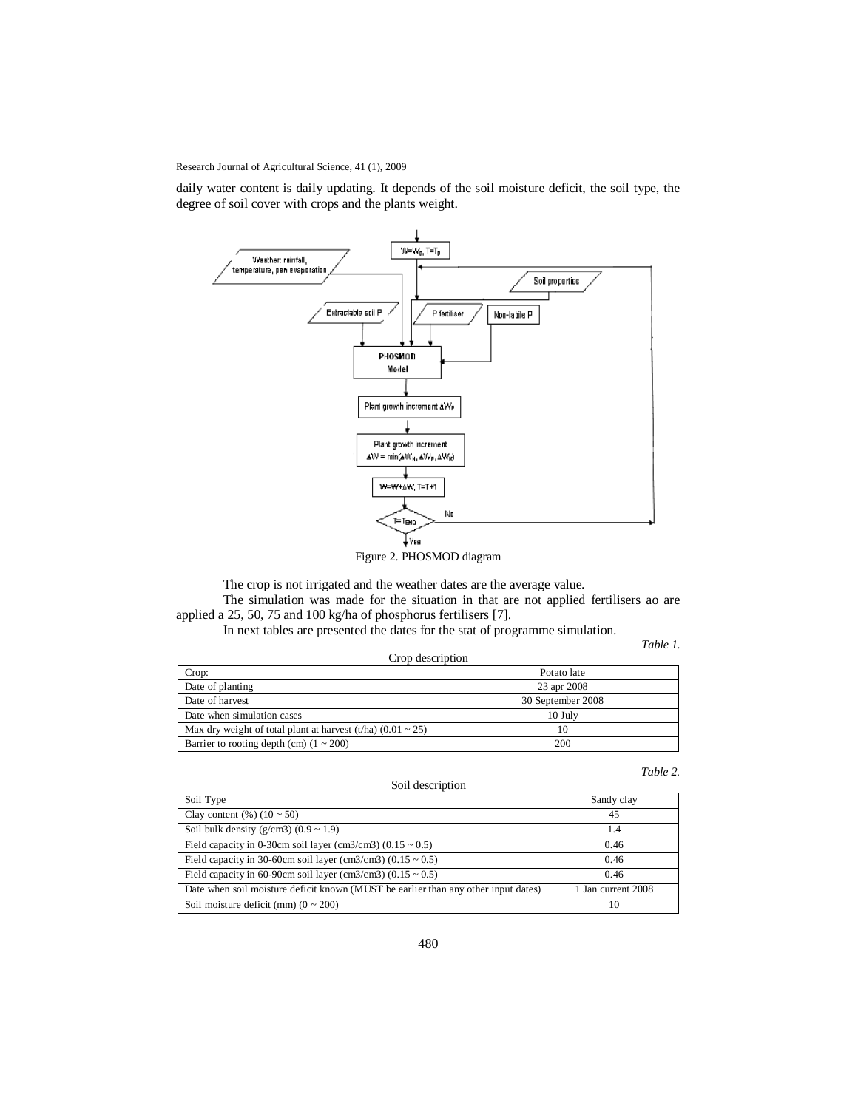Research Journal of Agricultural Science, 41 (1), 2009

daily water content is daily updating. It depends of the soil moisture deficit, the soil type, the degree of soil cover with crops and the plants weight.



Figure 2. PHOSMOD diagram

The crop is not irrigated and the weather dates are the average value.

The simulation was made for the situation in that are not applied fertilisers ao are applied a 25, 50, 75 and 100 kg/ha of phosphorus fertilisers [7].

In next tables are presented the dates for the stat of programme simulation.

*Table 1.* 

|                                                                  | 1 <i>00001</i>    |  |  |  |
|------------------------------------------------------------------|-------------------|--|--|--|
| Crop description                                                 |                   |  |  |  |
| Crop:                                                            | Potato late       |  |  |  |
| Date of planting                                                 | 23 apr 2008       |  |  |  |
| Date of harvest                                                  | 30 September 2008 |  |  |  |
| Date when simulation cases                                       | $10$ July         |  |  |  |
| Max dry weight of total plant at harvest (t/ha) $(0.01 \sim 25)$ | 10                |  |  |  |
| Barrier to rooting depth (cm) $(1 \sim 200)$                     | 200               |  |  |  |

*Table 2.*

| Soil description                                                                   |                    |  |  |  |
|------------------------------------------------------------------------------------|--------------------|--|--|--|
| Soil Type                                                                          | Sandy clay         |  |  |  |
| Clay content $(\%)(10 \sim 50)$                                                    | 45                 |  |  |  |
| Soil bulk density ( $g/cm3$ ) (0.9 ~ 1.9)                                          | 1.4                |  |  |  |
| Field capacity in 0-30cm soil layer (cm3/cm3) $(0.15 \sim 0.5)$                    | 0.46               |  |  |  |
| Field capacity in 30-60cm soil layer (cm3/cm3) (0.15 $\sim$ 0.5)                   | 0.46               |  |  |  |
| Field capacity in 60-90cm soil layer (cm3/cm3) (0.15 $\sim$ 0.5)                   | 0.46               |  |  |  |
| Date when soil moisture deficit known (MUST be earlier than any other input dates) | 1 Jan current 2008 |  |  |  |
| Soil moisture deficit (mm) $(0 \sim 200)$                                          | 10                 |  |  |  |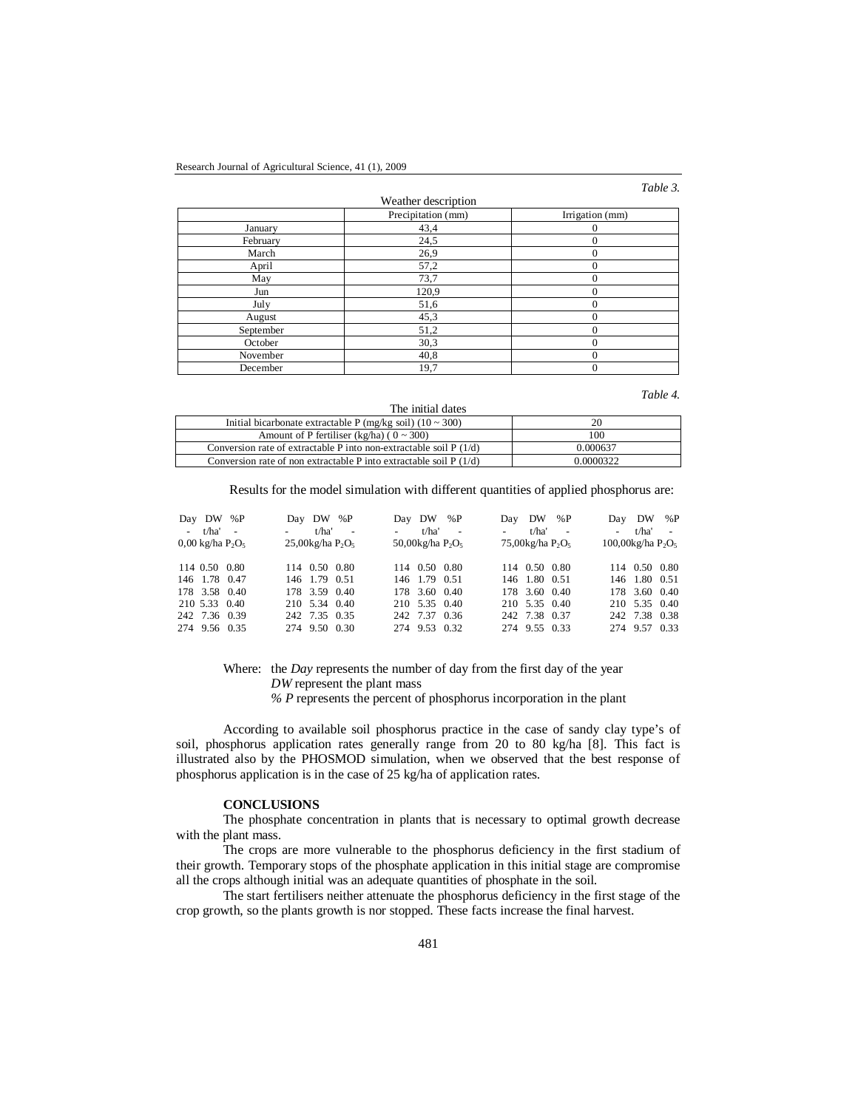#### *Table 3.*

|                     |                    | <i>rubic J</i> . |  |  |
|---------------------|--------------------|------------------|--|--|
| Weather description |                    |                  |  |  |
|                     | Precipitation (mm) | Irrigation (mm)  |  |  |
| January             | 43,4               |                  |  |  |
| February            | 24,5               | 0                |  |  |
| March               | 26,9               | $\Omega$         |  |  |
| April               | 57,2               | $\Omega$         |  |  |
| May                 | 73,7               | $\Omega$         |  |  |
| Jun                 | 120,9              | $\sqrt{ }$       |  |  |
| July                | 51,6               | $\Omega$         |  |  |
| August              | 45,3               | $\Omega$         |  |  |
| September           | 51,2               | $\Omega$         |  |  |
| October             | 30,3               | $\Omega$         |  |  |
| November            | 40,8               | $\Omega$         |  |  |
| December            | 19,7               | $\theta$         |  |  |
|                     |                    |                  |  |  |

*Table 4.*

| The initial dates                                                   |           |
|---------------------------------------------------------------------|-----------|
| Initial bicarbonate extractable P (mg/kg soil) $(10 \sim 300)$      | 20        |
| Amount of P fertiliser (kg/ha) ( $0 \sim 300$ )                     | 100       |
| Conversion rate of extractable P into non-extractable soil $P(1/d)$ | 0.000637  |
| Conversion rate of non extractable P into extractable soil $P(1/d)$ | 0.0000322 |

Results for the model simulation with different quantities of applied phosphorus are:

| Day DW %P                    | Day DW %P                       | Day DW %P                                    | Day DW %P               | Day DW %P               |
|------------------------------|---------------------------------|----------------------------------------------|-------------------------|-------------------------|
| - t/ha' -                    | t/ha' -<br><b>All Contracts</b> | $-$ t/ha' $-$                                | $t/ha'$ -<br>$\sim 100$ | $-$ t/ha' $-$           |
| $0.00 \text{ kg/ha } P_2O_5$ | $25,00$ kg/ha $P_2O_5$          | 50,00 $kg$ /ha P <sub>2</sub> O <sub>5</sub> | 75,00 $kg$ /ha $P_2O_5$ | $100,00$ kg/ha $P_2O_5$ |
| 114 0.50 0.80                | 114 0.50 0.80                   | 114 0.50 0.80                                | 114 0.50 0.80           | 114 0.50 0.80           |
| 146 1.78 0.47                | 146 1.79 0.51                   | 146 1.79 0.51                                | 146 1.80 0.51           | 146 1.80 0.51           |
| 178 3.58 0.40                | 178 3.59 0.40                   | 178 3.60 0.40                                | 178 3.60 0.40           | 178 3.60 0.40           |
| 210 5.33 0.40                | 210 5.34 0.40                   | 210 5.35 0.40                                | 210 5.35 0.40           | 210 5.35 0.40           |
| 242 7.36 0.39                | 242 7.35 0.35                   | 242 7.37 0.36                                | 242 7.38 0.37           | 242 7.38 0.38           |
| 274 9.56 0.35                | 274 9.50 0.30                   | 274 9.53 0.32                                | 274 9.55 0.33           | 274 9.57 0.33           |

Where: the *Day* represents the number of day from the first day of the year *DW* represent the plant mass

*% P* represents the percent of phosphorus incorporation in the plant

According to available soil phosphorus practice in the case of sandy clay type's of soil, phosphorus application rates generally range from 20 to 80 kg/ha [8]. This fact is illustrated also by the PHOSMOD simulation, when we observed that the best response of phosphorus application is in the case of 25 kg/ha of application rates.

## **CONCLUSIONS**

The phosphate concentration in plants that is necessary to optimal growth decrease with the plant mass.

The crops are more vulnerable to the phosphorus deficiency in the first stadium of their growth. Temporary stops of the phosphate application in this initial stage are compromise all the crops although initial was an adequate quantities of phosphate in the soil.

The start fertilisers neither attenuate the phosphorus deficiency in the first stage of the crop growth, so the plants growth is nor stopped. These facts increase the final harvest.